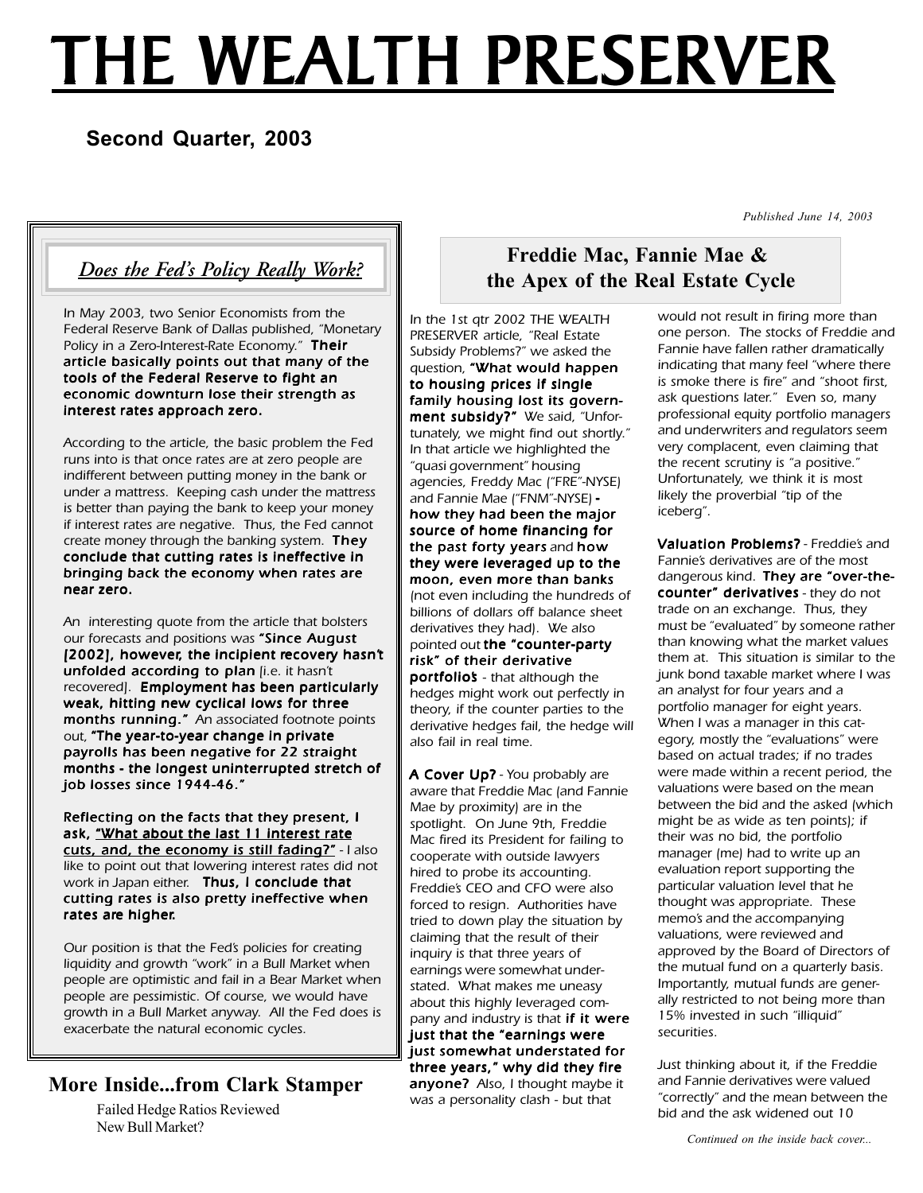# THE WEALTH PRESERVER

#### **Second Quarter, 2003**

 *Published June 14, 2003*

#### *Does the Fed's Policy Really Work?*

*In May 2003, two Senior Economists from the Federal Reserve Bank of Dallas published, "Monetary Policy in a Zero-Interest-Rate Economy." Their article basically points out that many of the tools of the Federal Reserve to fight an economic downturn lose their strength as interest rates approach zero. approach zero.*

*According to the article, the basic problem the Fed runs into is that once rates are at zero people are indifferent between putting money in the bank or under a mattress. Keeping cash under the mattress is better than paying the bank to keep your money if interest rates are negative. Thus, the Fed cannot create money through the banking system. They conclude that cutting rates is ineffective in bringing back the economy when rates are near zero. near zero.*

*An interesting quote from the article that bolsters our forecasts and positions was "Since August [2002], however, the incipient recovery hasn' y hasn't unfolded according to plan [i ding to plan .e. it hasn't recovered]. Employment has been particularly weak, hitting new cyclical lows for three* **months running."** An associated footnote points *out, "The year-to-year change in private payrolls has been negative for 22 straight months - the longest uninterrupted stretch of - the longest uninterrupted of job losses since 1944-46."*

*Reflecting on the facts that they present, I Reflecting on the that present, ask, "What about the last 11 interest rate cuts, and, the economy is still fading?" - I also like to point out that lowering interest rates did not work in Japan either. Thus, I conclude that cutting rates is also pretty ineffective when rates are higher.*

*Our position is that the Fed's policies for creating liquidity and growth "work" in a Bull Market when people are optimistic and fail in a Bear Market when people are pessimistic. Of course, we would have growth in a Bull Market anyway. All the Fed does is exacerbate the natural economic cycles.*

#### **More Inside...from Clark Stamper**

Failed Hedge Ratios Reviewed New Bull Market?

#### **Freddie Mac, Fannie Mae & the Apex of the Real Estate Cycle**

*In the 1st qtr 2002 THE WEALTH PRESERVER article, "Real Estate Subsidy Problems?" we asked the question, "What would happen to housing prices if single family housing lost its govern- family housing lost govern*ment subsidy?" We said, "Unfor*tunately, we might find out shortly." In that article we highlighted the "quasi government" housing agencies, Freddy Mac ("FRE"-NYSE) and Fannie Mae ("FNM"-NYSE) how they had been the major source of home financing for the past forty years the past forty years and how they were leveraged up to the moon, even more than banks (not even including the hundreds of billions of dollars off balance sheet derivatives they had). We also pointed out the "counter-party risk" of their derivative portfolio' portfolio's - that although the s hedges might work out perfectly in theory, if the counter parties to the derivative hedges fail, the hedge will also fail in real time.*

A Cover Up? - You probably are *aware that Freddie Mac (and Fannie Mae by proximity) are in the spotlight. On June 9th, Freddie Mac fired its President for failing to cooperate with outside lawyers hired to probe its accounting. Freddie's CEO and CFO were also forced to resign. Authorities have tried to down play the situation by claiming that the result of their inquiry is that three years of earnings were somewhat understated. What makes me uneasy about this highly leveraged company and industry is that if it were just that the "earnings were just somewhat understated for three years," why did they fire anyone? anyone? Also, I thought maybe it was a personality clash - but that*

*would not result in firing more than one person. The stocks of Freddie and Fannie have fallen rather dramatically indicating that many feel "where there is smoke there is fire" and "shoot first, ask questions later." Even so, many professional equity portfolio managers and underwriters and regulators seem very complacent, even claiming that the recent scrutiny is "a positive." Unfortunately, we think it is most likely the proverbial "tip of the iceberg".*

**Valuation Problems?** - Freddie's and *Fannie's derivatives are of the most dangerous kind. They are "over-the- are "over-thecounter" derivatives - counter" derivatives they do not trade on an exchange. Thus, they must be "evaluated" by someone rather than knowing what the market values them at. This situation is similar to the junk bond taxable market where I was an analyst for four years and a portfolio manager for eight years. When I was a manager in this category, mostly the "evaluations" were based on actual trades; if no trades were made within a recent period, the valuations were based on the mean between the bid and the asked (which might be as wide as ten points); if their was no bid, the portfolio manager (me) had to write up an evaluation report supporting the particular valuation level that he thought was appropriate. These memo's and the accompanying valuations, were reviewed and approved by the Board of Directors of the mutual fund on a quarterly basis. Importantly, mutual funds are generally restricted to not being more than 15% invested in such "illiquid" securities.*

*Just thinking about it, if the Freddie and Fannie derivatives were valued "correctly" and the mean between the bid and the ask widened out 10*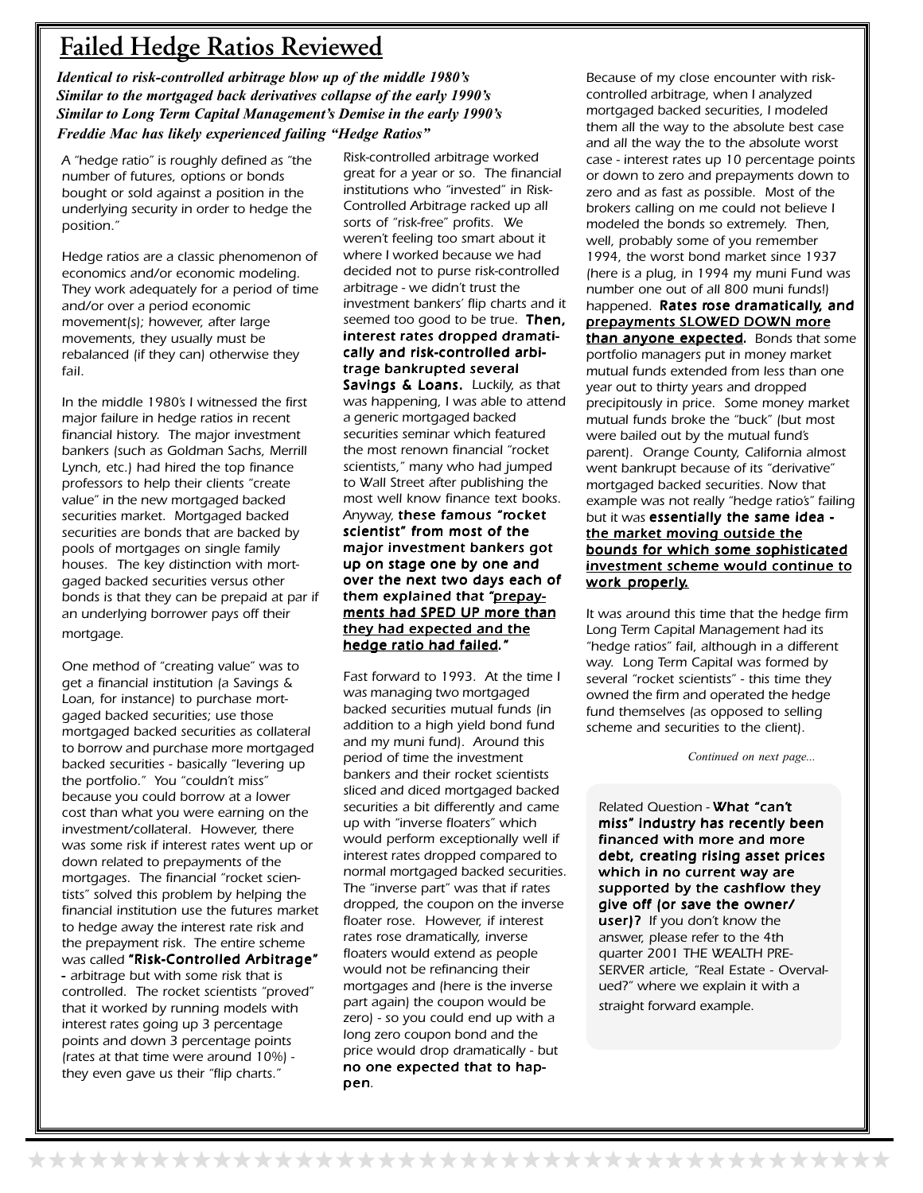## **Failed Hedge Ratios Reviewed**

*Identical to risk-controlled arbitrage blow up of the middle 1980's Similar to the mortgaged back derivatives collapse of the early 1990's Similar to Long Term Capital Management's Demise in the early 1990's Freddie Mac has likely experienced failing "Hedge Ratios"*

*A "hedge ratio" is roughly defined as "the number of futures, options or bonds bought or sold against a position in the underlying security in order to hedge the position."*

*Hedge ratios are a classic phenomenon of economics and/or economic modeling. They work adequately for a period of time and/or over a period economic movement(s); however, after large movements, they usually must be rebalanced (if they can) otherwise they fail.*

*In the middle 1980's I witnessed the first major failure in hedge ratios in recent financial history. The major investment bankers (such as Goldman Sachs, Merrill Lynch, etc.) had hired the top finance professors to help their clients "create value" in the new mortgaged backed securities market. Mortgaged backed securities are bonds that are backed by pools of mortgages on single family houses. The key distinction with mortgaged backed securities versus other bonds is that they can be prepaid at par if an underlying borrower pays off their mortgage.*

*One method of "creating value" was to get a financial institution (a Savings & Loan, for instance) to purchase mortgaged backed securities; use those mortgaged backed securities as collateral to borrow and purchase more mortgaged backed securities - basically "levering up the portfolio." You "couldn't miss" because you could borrow at a lower cost than what you were earning on the investment/collateral. However, there was some risk if interest rates went up or down related to prepayments of the mortgages. The financial "rocket scientists" solved this problem by helping the financial institution use the futures market to hedge away the interest rate risk and the prepayment risk. The entire scheme was called "Risk-Controlled Arbitrage" - arbitrage but with some risk that is controlled. The rocket scientists "proved" that it worked by running models with interest rates going up 3 percentage points and down 3 percentage points (rates at that time were around 10%) they even gave us their "flip charts."*

*Risk-controlled arbitrage worked great for a year or so. The financial institutions who "invested" in Risk-Controlled Arbitrage racked up all sorts of "risk-free" profits. We weren't feeling too smart about it where I worked because we had decided not to purse risk-controlled arbitrage - we didn't trust the investment bankers' flip charts and it seemed too good to be true. Then, interest rates dropped dramati- interest rates dramatically and risk-controlled arbi- cally risk-controlled arbitrage bankrupted several* **Savings & Loans.** Luckily, as that

*was happening, I was able to attend a generic mortgaged backed securities seminar which featured the most renown financial "rocket scientists," many who had jumped to Wall Street after publishing the most well know finance text books. Anyway, these famous "rocket scientist" from most of the major investment bankers got up on stage one by one and over the next two days each of next two days them explained that "prepay- prepayments had SPED UP more than they had expected and the hedge ratio had failed."*

*Fast forward to 1993. At the time I was managing two mortgaged backed securities mutual funds (in addition to a high yield bond fund and my muni fund). Around this period of time the investment bankers and their rocket scientists sliced and diced mortgaged backed securities a bit differently and came up with "inverse floaters" which would perform exceptionally well if interest rates dropped compared to normal mortgaged backed securities. The "inverse part" was that if rates dropped, the coupon on the inverse floater rose. However, if interest rates rose dramatically, inverse floaters would extend as people would not be refinancing their mortgages and (here is the inverse part again) the coupon would be zero) - so you could end up with a long zero coupon bond and the price would drop dramatically - but no one expected that to hap- no that happen.*

*Because of my close encounter with riskcontrolled arbitrage, when I analyzed mortgaged backed securities, I modeled them all the way to the absolute best case and all the way the to the absolute worst case - interest rates up 10 percentage points or down to zero and prepayments down to zero and as fast as possible. Most of the brokers calling on me could not believe I modeled the bonds so extremely. Then, well, probably some of you remember 1994, the worst bond market since 1937 (here is a plug, in 1994 my muni Fund was number one out of all 800 muni funds!) happened. Rates rose dramatically, and prepayments SLOWED DOWN more than anyone expected. Bonds that some . portfolio managers put in money market mutual funds extended from less than one year out to thirty years and dropped precipitously in price. Some money market mutual funds broke the "buck" (but most were bailed out by the mutual fund's parent). Orange County, California almost went bankrupt because of its "derivative" mortgaged backed securities. Now that example was not really "hedge ratio's" failing but it was essentially the same idea the market moving outside the bounds for which some sophisticated investment scheme would continue to work properly.*

*It was around this time that the hedge firm Long Term Capital Management had its "hedge ratios" fail, although in a different way. Long Term Capital was formed by several "rocket scientists" - this time they owned the firm and operated the hedge fund themselves (as opposed to selling scheme and securities to the client).*

 *Continued on next page...*

*Related Question - What "can' "can't miss" industry has recently been financed with more and more debt, creating rising asset prices which in no current way are supported by the cashflow they give off (or save the owner/* **user)?** If you don't know the *answer, please refer to the 4th quarter 2001 THE WEALTH PRE-SERVER article, "Real Estate - Overvalued?" where we explain it with a straight forward example.*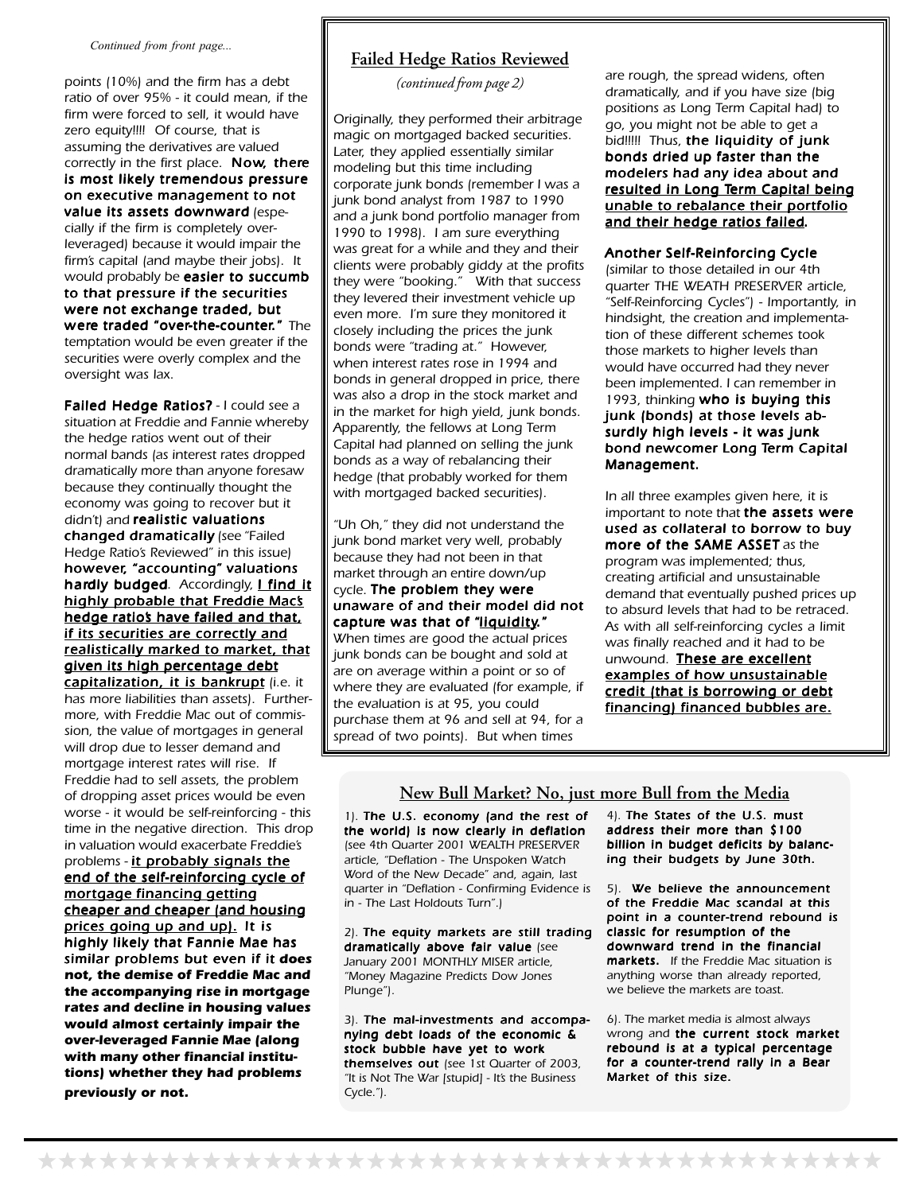*Continued from front page...*

*points (10%) and the firm has a debt ratio of over 95% - it could mean, if the firm were forced to sell, it would have zero equity!!!! Of course, that is assuming the derivatives are valued correctly in the first place. Now, there is most likely tremendous pressure on executive management to not* value its assets downward (espe*cially if the firm is completely overleveraged) because it would impair the firm's capital (and maybe their jobs). It would probably be easier to succumb to that pressure if the securities were not exchange traded, but were traded "over-the-counter." The ." temptation would be even greater if the securities were overly complex and the oversight was lax.*

**Failed Hedge Ratios?** - I could see a *situation at Freddie and Fannie whereby the hedge ratios went out of their normal bands (as interest rates dropped dramatically more than anyone foresaw because they continually thought the economy was going to recover but it didn't) and realistic valuations changed dramatically dramatically (see "Failed Hedge Ratio's Reviewed" in this issue) however, "accounting" valuations* **hardly budged**. Accordingly, *I find it highly probable that Freddie Mac' eddie Mac's hedge ratio' hedge ratio's have failed and that, s and if its securities are correctly and realistically marked to market, that given its high percentage debt capitalization, it is bankrupt (i.e. it has more liabilities than assets). Furthermore, with Freddie Mac out of commission, the value of mortgages in general will drop due to lesser demand and mortgage interest rates will rise. If Freddie had to sell assets, the problem of dropping asset prices would be even worse - it would be self-reinforcing - this time in the negative direction. This drop in valuation would exacerbate Freddie's problems - it probably signals the end of the self-reinforcing cycle of of the self-reinforcing cycle mortgage financing getting cheaper and cheaper (and housing prices going up and up).* It is *highly likely that Fannie Mae has similar problems but even if it but even it does not, the demise of Freddie Mac and the accompanying rise in mortgage rates and decline in housing values would almost certainly impair the over-leveraged Fannie Mae (along with many other financial institutions) whether they had problems previously or not.*

#### **Failed Hedge Ratios Reviewed**

*(continued from page 2)*

*Originally, they performed their arbitrage magic on mortgaged backed securities. Later, they applied essentially similar modeling but this time including corporate junk bonds (remember I was a junk bond analyst from 1987 to 1990 and a junk bond portfolio manager from 1990 to 1998). I am sure everything was great for a while and they and their clients were probably giddy at the profits they were "booking." With that success they levered their investment vehicle up even more. I'm sure they monitored it closely including the prices the junk bonds were "trading at." However, when interest rates rose in 1994 and bonds in general dropped in price, there was also a drop in the stock market and in the market for high yield, junk bonds. Apparently, the fellows at Long Term Capital had planned on selling the junk bonds as a way of rebalancing their hedge (that probably worked for them with mortgaged backed securities).*

*"Uh Oh," they did not understand the junk bond market very well, probably because they had not been in that market through an entire down/up cycle. The problem they were unaware of and their model did not capture was that of "liquidity." When times are good the actual prices junk bonds can be bought and sold at are on average within a point or so of where they are evaluated (for example, if the evaluation is at 95, you could purchase them at 96 and sell at 94, for a spread of two points). But when times*

*are rough, the spread widens, often dramatically, and if you have size (big positions as Long Term Capital had) to go, you might not be able to get a bid!!!!! Thus, the liquidity of junk bonds dried up faster than the modelers had any idea about and resulted in Long Term Capital being unable to rebalance their portfolio and their hedge ratios failed.*

*Another Self-Reinforcing Cycle*

*(similar to those detailed in our 4th quarter THE WEATH PRESERVER article, "Self-Reinforcing Cycles") - Importantly, in hindsight, the creation and implementation of these different schemes took those markets to higher levels than would have occurred had they never been implemented. I can remember in 1993, thinking who is buying this* junk (bonds) at those levels ab*surdly high levels - it was junk* **bond newcomer Long Term Capital** *Management.*

*In all three examples given here, it is important to note that the assets were used as collateral to borrow to buy* **more of the SAME ASSET** as the *program was implemented; thus, creating artificial and unsustainable demand that eventually pushed prices up to absurd levels that had to be retraced. As with all self-reinforcing cycles a limit was finally reached and it had to be unwound. These are excellent examples of how unsustainable credit (that is borrowing or debt financing) financed bubbles are. financing) financed are.*

#### **New Bull Market? No, just more Bull from the Media**

*1). The U.S. economy (and the rest of the world) is now clearly in deflation (see 4th Quarter 2001 WEALTH PRESERVER article, "Deflation - The Unspoken Watch Word of the New Decade" and, again, last quarter in "Deflation - Confirming Evidence is in - The Last Holdouts Turn".)*

*2). The equity markets are still trading* dramatically above fair value (see *January 2001 MONTHLY MISER article, "Money Magazine Predicts Dow Jones Plunge").*

3). The mal-investments and accompa*nying debt loads of the economic & stock bubble have yet to work themselves out (see 1st Quarter of 2003, "It is Not The War [stupid] - It's the Business Cycle.").*

*4). The States of the U.S. must address their more than \$100 billion in budget deficits by balanc- budget balancing their budgets by June 30th.*

*5). We believe the announcement of the Freddie Mac scandal at this point in a counter-trend rebound is classic for resumption of the downward trend in the financial financial markets. If the Freddie Mac situation is anything worse than already reported, we believe the markets are toast.*

*6). The market media is almost always wrong and the current stock market rebound is at a typical percentage for a counter-trend rally in a Bear Market of this size.*